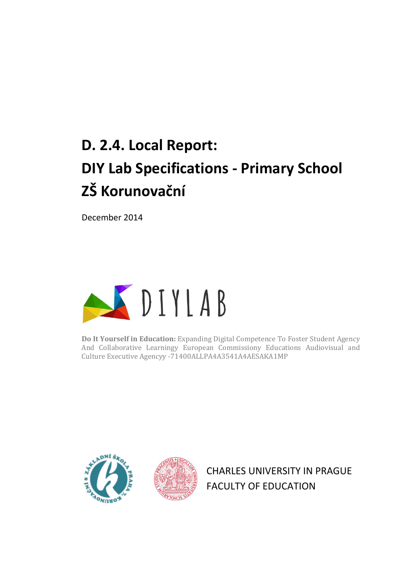# **D. 2.4. Local Report: DIY Lab Specifications - Primary School ZŠ Korunovační**

December 2014



**Do It Yourself in Education:** Expanding Digital Competence To Foster Student Agency And Collaborative Learningy European Commissiony Educations Audiovisual and Culture Executive Agencyy -71400ALLPA4A3541A4AESAKA1MP





CHARLES UNIVERSITY IN PRAGUE FACULTY OF EDUCATION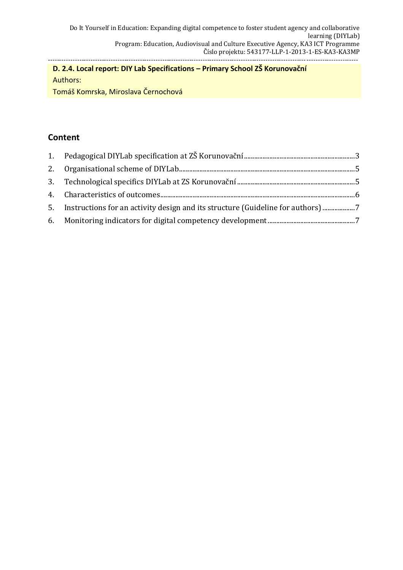#### **D. 2.4. Local report: DIY Lab Specifications – Primary School ZŠ Korunovační** Authors:

Tomáš Komrska, Miroslava Černochová

## **Content**

| 5. Instructions for an activity design and its structure (Guideline for authors) |  |
|----------------------------------------------------------------------------------|--|
|                                                                                  |  |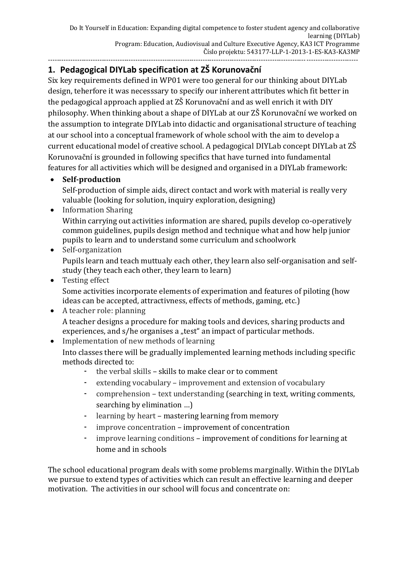#### <span id="page-2-0"></span>**1. Pedagogical DIYLab specification at ZŠ Korunovační**

Six key requirements defined in WP01 were too general for our thinking about DIYLab design, teherfore it was necesssary to specify our inherent attributes which fit better in the pedagogical approach applied at ZŠ Korunovační and as well enrich it with DIY philosophy. When thinking about a shape of DIYLab at our ZŠ Korunovační we worked on the assumption to integrate DIYLab into didactic and organisational structure of teaching at our school into a conceptual framework of whole school with the aim to develop a current educational model of creative school. A pedagogical DIYLab concept DIYLab at ZŠ Korunovační is grounded in following specifics that have turned into fundamental features for all activities which will be designed and organised in a DIYLab framework:

#### **Self-production**

Self-production of simple aids, direct contact and work with material is really very valuable (looking for solution, inquiry exploration, designing)

#### • Information Sharing

Within carrying out activities information are shared, pupils develop co-operatively common guidelines, pupils design method and technique what and how help junior pupils to learn and to understand some curriculum and schoolwork

# • Self-organization

Pupils learn and teach muttualy each other, they learn also self-organisation and selfstudy (they teach each other, they learn to learn)

• Testing effect Some activities incorporate elements of experimation and features of piloting (how ideas can be accepted, attractivness, effects of methods, gaming, etc.)

#### • A teacher role: planning A teacher designs a procedure for making tools and devices, sharing products and experiences, and s/he organises a "test" an impact of particular methods.

• Implementation of new methods of learning Into classes there will be gradually implemented learning methods including specific methods directed to:

- **-** the verbal skills skills to make clear or to comment
- **-** extending vocabulary improvement and extension of vocabulary
- **-** comprehension text understanding (searching in text, writing comments, searching by elimination …)
- **-** learning by heart mastering learning from memory
- **-** improve concentration improvement of concentration
- **-** improve learning conditions improvement of conditions for learning at home and in schools

The school educational program deals with some problems marginally. Within the DIYLab we pursue to extend types of activities which can result an effective learning and deeper motivation. The activities in our school will focus and concentrate on: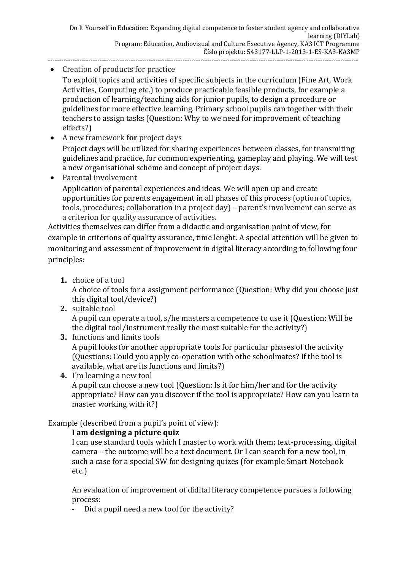• Creation of products for practice

To exploit topics and activities of specific subjects in the curriculum (Fine Art, Work Activities, Computing etc.) to produce practicable feasible products, for example a production of learning/teaching aids for junior pupils, to design a procedure or guidelines for more effective learning. Primary school pupils can together with their teachers to assign tasks (Question: Why to we need for improvement of teaching effects?)

- A new framework **for** project days Project days will be utilized for sharing experiences between classes, for transmiting guidelines and practice, for common experienting, gameplay and playing. We will test a new organisational scheme and concept of project days.
- Parental involvement

Application of parental experiences and ideas. We will open up and create opportunities for parents engagement in all phases of this process (option of topics, tools, procedures; collaboration in a project day) – parent's involvement can serve as a criterion for quality assurance of activities.

Activities themselves can differ from a didactic and organisation point of view, for example in criterions of quality assurance, time lenght. A special attention will be given to monitoring and assessment of improvement in digital literacy according to following four principles:

**1.** choice of a tool

A choice of tools for a assignment performance (Question: Why did you choose just this digital tool/device?)

**2.** suitable tool

A pupil can operate a tool, s/he masters a competence to use it (Question: Will be the digital tool/instrument really the most suitable for the activity?)

**3.** functions and limits tools

A pupil looks for another appropriate tools for particular phases of the activity (Questions: Could you apply co-operation with othe schoolmates? If the tool is available, what are its functions and limits?)

**4.** I'm learning a new tool

A pupil can choose a new tool (Question: Is it for him/her and for the activity appropriate? How can you discover if the tool is appropriate? How can you learn to master working with it?)

Example (described from a pupil's point of view):

#### **I am designing a picture quiz**

I can use standard tools which I master to work with them: text-processing, digital camera – the outcome will be a text document. Or I can search for a new tool, in such a case for a special SW for designing quizes (for example Smart Notebook etc.)

An evaluation of improvement of didital literacy competence pursues a following process:

- Did a pupil need a new tool for the activity?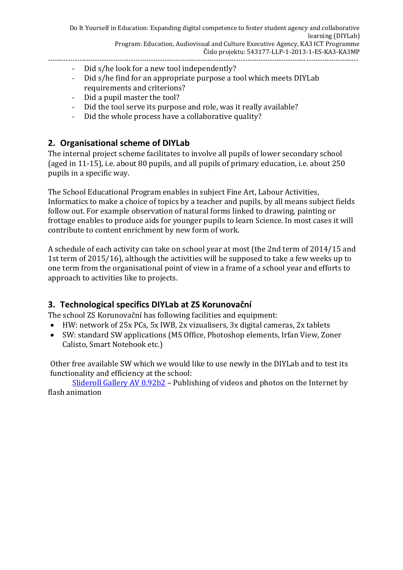- Did s/he look for a new tool independently?
- Did s/he find for an appropriate purpose a tool which meets DIYLab requirements and criterions?
- Did a pupil master the tool?
- Did the tool serve its purpose and role, was it really available?
- Did the whole process have a collaborative quality?

#### <span id="page-4-0"></span>**2. Organisational scheme of DIYLab**

The internal project scheme facilitates to involve all pupils of lower secondary school (aged in 11-15), i.e. about 80 pupils, and all pupils of primary education, i.e. about 250 pupils in a specific way.

The School Educational Program enables in subject Fine Art, Labour Activities, Informatics to make a choice of topics by a teacher and pupils, by all means subject fields follow out. For example observation of natural forms linked to drawing, painting or frottage enables to produce aids for younger pupils to learn Science. In most cases it will contribute to content enrichment by new form of work.

A schedule of each activity can take on school year at most (the 2nd term of 2014/15 and 1st term of 2015/16), although the activities will be supposed to take a few weeks up to one term from the organisational point of view in a frame of a school year and efforts to approach to activities like to projects.

#### <span id="page-4-1"></span>**3. Technological specifics DIYLab at ZS Korunovační**

The school ZS Korunovační has following facilities and equipment:

- HW: network of 25x PCs, 5x IWB, 2x vizualisers, 3x digital cameras, 2x tablets
- SW: standard SW applications (MS Office, Photoshop elements, Irfan View, Zoner Calisto, Smart Notebook etc.)

Other free available SW which we would like to use newly in the DIYLab and to test its functionality and efficiency at the school:

[Slideroll Gallery AV 0.92b2](http://www.slunecnice.cz/sw/slideroll-gallery-av/) – Publishing of videos and photos on the Internet by flash animation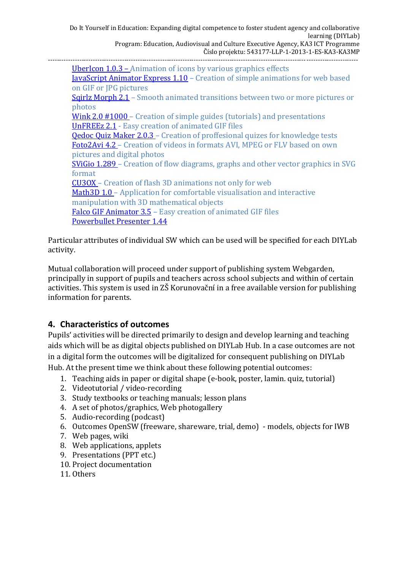Do It Yourself in Education: Expanding digital competence to foster student agency and collaborative learning (DIYLab) Program: Education, Audiovisual and Culture Executive Agency, KA3 ICT Programme Číslo projektu: 543177-LLP-1-2013-1-ES-KA3-KA3MP ------------------------------------------------------------------------------------------------------------------------------------------ [UberIcon 1.0.3](http://www.slunecnice.cz/sw/ubericon/) - Animation of icons by various graphics effects

[JavaScript Animator Express 1.10](http://www.slunecnice.cz/sw/javascript-animator-express/) – Creation of simple animations for web based on GIF or JPG pictures Sgirlz Morph 2.1 – Smooth animated transitions between two or more pictures or photos [Wink 2.0 #1000](http://www.slunecnice.cz/sw/wink/) – Creation of simple guides (tutorials) and presentations [UnFREEz 2.1](http://www.slunecnice.cz/sw/unfreez/) - Easy creation of animated GIF files [Qedoc Quiz Maker 2.0.3](http://www.slunecnice.cz/sw/qedoc-quiz-maker/) - Creation of proffesional quizes for knowledge tests [Foto2Avi 4.2](http://www.slunecnice.cz/sw/foto2avi/) – Creation of videos in formats AVI, MPEG or FLV based on own pictures and digital photos [SViGio 1.289](http://www.slunecnice.cz/sw/svigio/) – Creation of flow diagrams, graphs and other vector graphics in SVG format [CU3OX](http://www.slunecnice.cz/sw/cu3ox/) – Creation of flash 3D animations not only for web [Math3D 1.0](http://www.slunecnice.cz/sw/math3d/) – Application for comfortable visualisation and interactive manipulation with 3D mathematical objects [Falco GIF Animator 3.5](http://www.slunecnice.cz/sw/falco-gif-animator/) – Easy creation of animated GIF files [Powerbullet Presenter 1.44](http://www.slunecnice.cz/sw/powerbullet-presenter/)

Particular attributes of individual SW which can be used will be specified for each DIYLab activity.

Mutual collaboration will proceed under support of publishing system Webgarden, principally in support of pupils and teachers across school subjects and within of certain activities. This system is used in ZŠ Korunovační in a free available version for publishing information for parents.

## <span id="page-5-0"></span>**4. Characteristics of outcomes**

Pupils' activities will be directed primarily to design and develop learning and teaching aids which will be as digital objects published on DIYLab Hub. In a case outcomes are not in a digital form the outcomes will be digitalized for consequent publishing on DIYLab Hub. At the present time we think about these following potential outcomes:

- 1. Teaching aids in paper or digital shape (e-book, poster, lamin. quiz, tutorial)
- 2. Videotutorial / video-recording
- 3. Study textbooks or teaching manuals; lesson plans
- 4. A set of photos/graphics, Web photogallery
- 5. Audio-recording (podcast)
- 6. Outcomes OpenSW (freeware, shareware, trial, demo) models, objects for IWB
- 7. Web pages, wiki
- 8. Web applications, applets
- 9. Presentations (PPT etc.)
- 10. Project documentation
- 11. Others